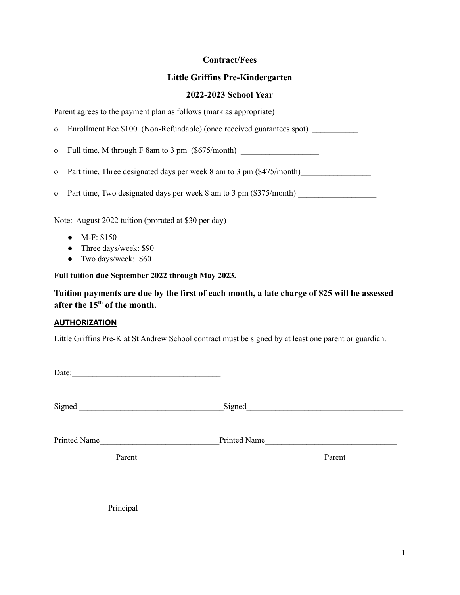## **Contract/Fees**

## **Little Griffins Pre-Kindergarten**

### **2022-2023 School Year**

Parent agrees to the payment plan as follows (mark as appropriate)

o Enrollment Fee \$100 (Non-Refundable) (once received guarantees spot) \_\_\_\_\_\_\_\_\_\_\_

o Full time, M through F 8am to 3 pm  $(\$675/month)$ 

o Part time, Three designated days per week 8 am to 3 pm (\$475/month)

o Part time, Two designated days per week 8 am to 3 pm (\$375/month)

Note: August 2022 tuition (prorated at \$30 per day)

- M-F: \$150
- Three days/week: \$90
- Two days/week: \$60

**Full tuition due September 2022 through May 2023.**

**Tuition payments are due by the first of each month, a late charge of \$25 will be assessed after the 15th of the month.**

#### **AUTHORIZATION**

Little Griffins Pre-K at St Andrew School contract must be signed by at least one parent or guardian.

Signed Signed Signed

Printed Name **Printed Name Printed Name** 

Parent Parent Parent Parent Parent Parent Parent Parent Parent Parent Parent Parent Parent Parent Parent Parent Parent Parent Parent Parent Parent Parent Parent Parent Parent Parent Parent Parent Parent Parent Parent Paren

Principal

 $\mathcal{L}_\text{max}$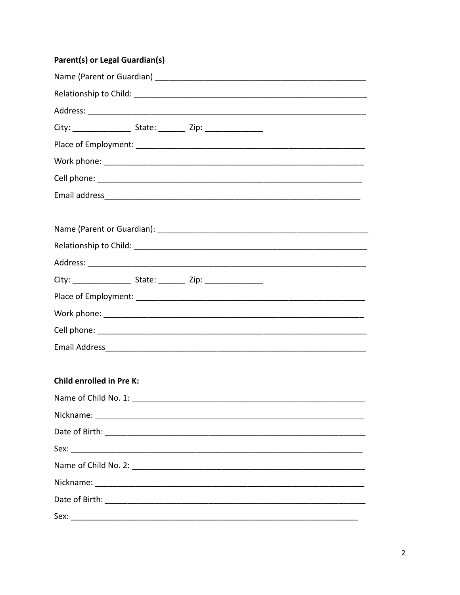# Parent(s) or Legal Guardian(s)

| <b>Child enrolled in Pre K:</b>           |
|-------------------------------------------|
| Name of Child No. 1: Name of Child No. 1: |
|                                           |
|                                           |
|                                           |
|                                           |
|                                           |
|                                           |
|                                           |